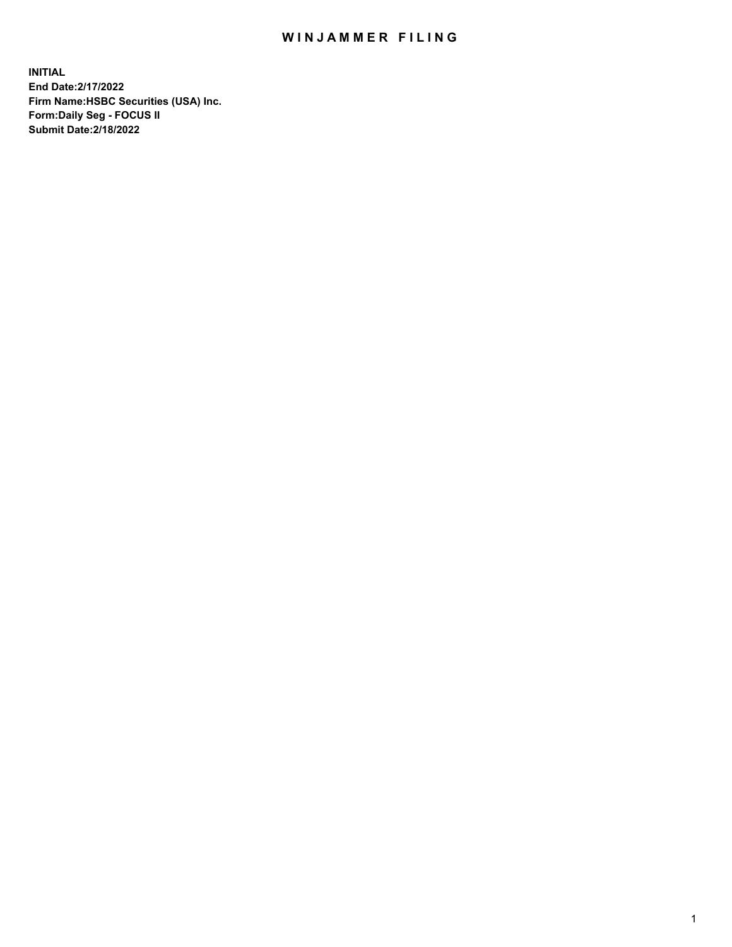## WIN JAMMER FILING

**INITIAL End Date:2/17/2022 Firm Name:HSBC Securities (USA) Inc. Form:Daily Seg - FOCUS II Submit Date:2/18/2022**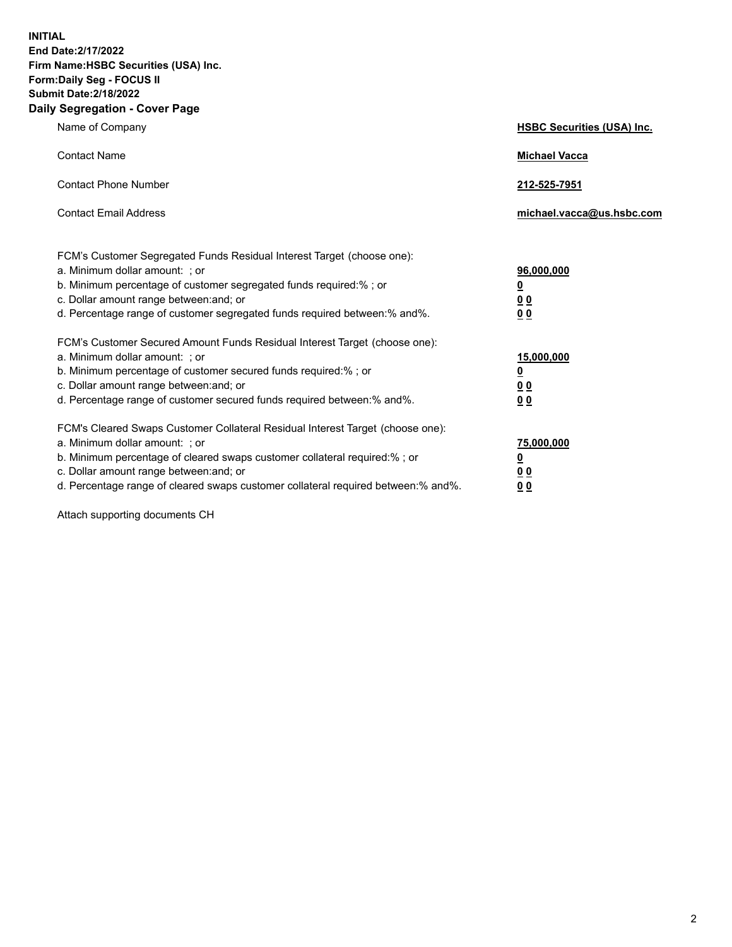**INITIAL End Date:2/17/2022 Firm Name:HSBC Securities (USA) Inc. Form:Daily Seg - FOCUS II Submit Date:2/18/2022 Daily Segregation - Cover Page**

| Name of Company                                                                                                                                                                                                                                                                                                                | <b>HSBC Securities (USA) Inc.</b>                              |
|--------------------------------------------------------------------------------------------------------------------------------------------------------------------------------------------------------------------------------------------------------------------------------------------------------------------------------|----------------------------------------------------------------|
| <b>Contact Name</b>                                                                                                                                                                                                                                                                                                            | <b>Michael Vacca</b>                                           |
| <b>Contact Phone Number</b>                                                                                                                                                                                                                                                                                                    | 212-525-7951                                                   |
| <b>Contact Email Address</b>                                                                                                                                                                                                                                                                                                   | michael.vacca@us.hsbc.com                                      |
| FCM's Customer Segregated Funds Residual Interest Target (choose one):<br>a. Minimum dollar amount: ; or<br>b. Minimum percentage of customer segregated funds required:% ; or<br>c. Dollar amount range between: and; or<br>d. Percentage range of customer segregated funds required between:% and%.                         | 96,000,000<br>$\underline{\mathbf{0}}$<br>0 <sub>0</sub><br>00 |
| FCM's Customer Secured Amount Funds Residual Interest Target (choose one):<br>a. Minimum dollar amount: ; or<br>b. Minimum percentage of customer secured funds required:%; or<br>c. Dollar amount range between: and; or<br>d. Percentage range of customer secured funds required between:% and%.                            | 15,000,000<br><u>0</u><br>0 <sub>0</sub><br>0 <sub>0</sub>     |
| FCM's Cleared Swaps Customer Collateral Residual Interest Target (choose one):<br>a. Minimum dollar amount: ; or<br>b. Minimum percentage of cleared swaps customer collateral required:% ; or<br>c. Dollar amount range between: and; or<br>d. Percentage range of cleared swaps customer collateral required between:% and%. | 75,000,000<br><u>0</u><br><u>00</u><br>00                      |

Attach supporting documents CH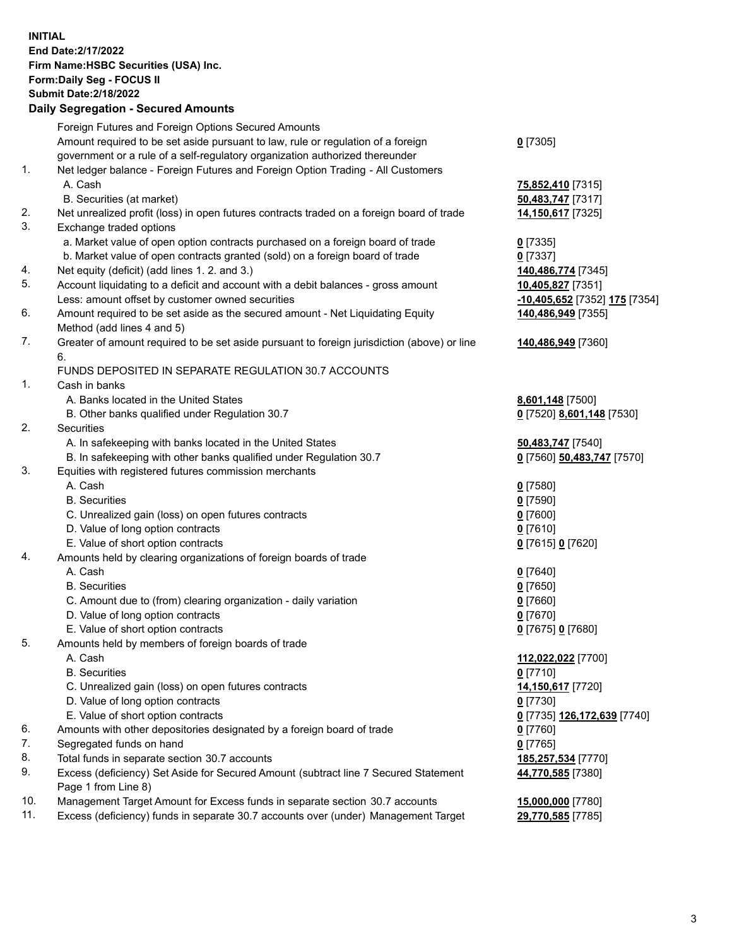**INITIAL End Date:2/17/2022 Firm Name:HSBC Securities (USA) Inc. Form:Daily Seg - FOCUS II Submit Date:2/18/2022 Daily Segregation - Secured Amounts** Foreign Futures and Foreign Options Secured Amounts Amount required to be set aside pursuant to law, rule or regulation of a foreign government or a rule of a self-regulatory organization authorized thereunder **0** [7305] 1. Net ledger balance - Foreign Futures and Foreign Option Trading - All Customers A. Cash **75,852,410** [7315] B. Securities (at market) **50,483,747** [7317] 2. Net unrealized profit (loss) in open futures contracts traded on a foreign board of trade **14,150,617** [7325] 3. Exchange traded options a. Market value of open option contracts purchased on a foreign board of trade **0** [7335] b. Market value of open contracts granted (sold) on a foreign board of trade **0** [7337] 4. Net equity (deficit) (add lines 1. 2. and 3.) **140,486,774** [7345] 5. Account liquidating to a deficit and account with a debit balances - gross amount **10,405,827** [7351] Less: amount offset by customer owned securities **-10,405,652** [7352] **175** [7354] 6. Amount required to be set aside as the secured amount - Net Liquidating Equity Method (add lines 4 and 5) **140,486,949** [7355] 7. Greater of amount required to be set aside pursuant to foreign jurisdiction (above) or line 6. **140,486,949** [7360] FUNDS DEPOSITED IN SEPARATE REGULATION 30.7 ACCOUNTS 1. Cash in banks A. Banks located in the United States **8,601,148** [7500] B. Other banks qualified under Regulation 30.7 **0** [7520] **8,601,148** [7530] 2. Securities A. In safekeeping with banks located in the United States **50,483,747** [7540] B. In safekeeping with other banks qualified under Regulation 30.7 **0** [7560] **50,483,747** [7570] 3. Equities with registered futures commission merchants A. Cash **0** [7580] B. Securities **0** [7590] C. Unrealized gain (loss) on open futures contracts **0** [7600] D. Value of long option contracts **0** [7610] E. Value of short option contracts **0** [7615] **0** [7620] 4. Amounts held by clearing organizations of foreign boards of trade A. Cash **0** [7640] B. Securities **0** [7650] C. Amount due to (from) clearing organization - daily variation **0** [7660] D. Value of long option contracts **0** [7670] E. Value of short option contracts **0** [7675] **0** [7680] 5. Amounts held by members of foreign boards of trade A. Cash **112,022,022** [7700] B. Securities **0** [7710] C. Unrealized gain (loss) on open futures contracts **14,150,617** [7720] D. Value of long option contracts **0** [7730] E. Value of short option contracts **0** [7735] **126,172,639** [7740] 6. Amounts with other depositories designated by a foreign board of trade **0** [7760]

- 7. Segregated funds on hand **0** [7765]
- 8. Total funds in separate section 30.7 accounts **185,257,534** [7770]
- 9. Excess (deficiency) Set Aside for Secured Amount (subtract line 7 Secured Statement Page 1 from Line 8)
- 10. Management Target Amount for Excess funds in separate section 30.7 accounts **15,000,000** [7780]
- 11. Excess (deficiency) funds in separate 30.7 accounts over (under) Management Target **29,770,585** [7785]

**44,770,585** [7380]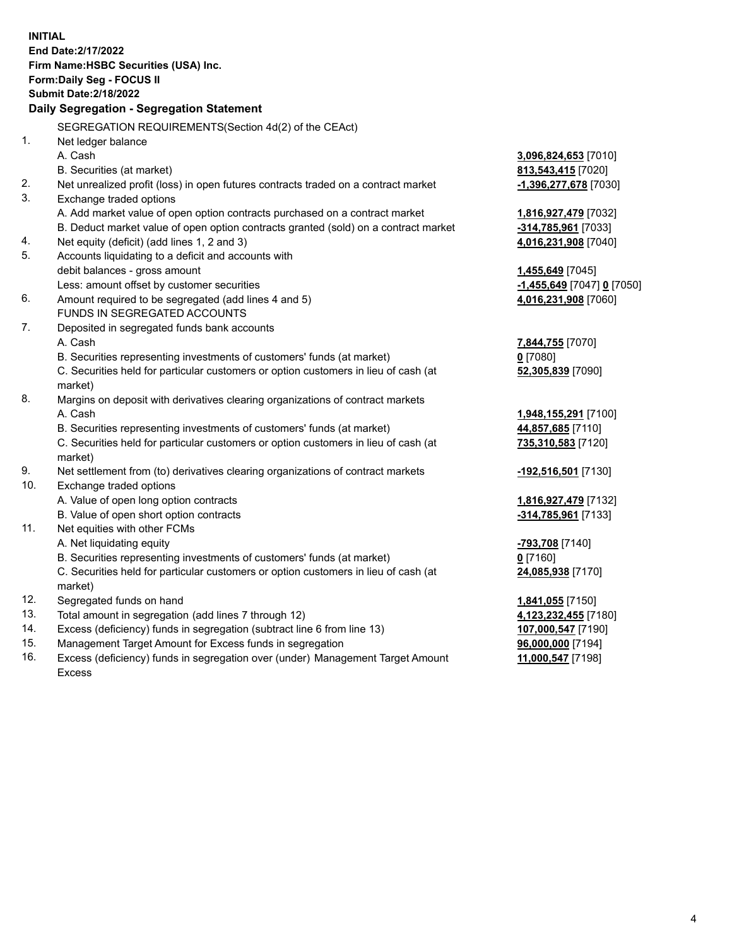|     | <b>INITIAL</b>                                                                                                                                                     |                                             |
|-----|--------------------------------------------------------------------------------------------------------------------------------------------------------------------|---------------------------------------------|
|     | End Date: 2/17/2022                                                                                                                                                |                                             |
|     | Firm Name: HSBC Securities (USA) Inc.                                                                                                                              |                                             |
|     | Form: Daily Seg - FOCUS II                                                                                                                                         |                                             |
|     | <b>Submit Date: 2/18/2022</b>                                                                                                                                      |                                             |
|     | Daily Segregation - Segregation Statement                                                                                                                          |                                             |
|     |                                                                                                                                                                    |                                             |
| 1.  | SEGREGATION REQUIREMENTS(Section 4d(2) of the CEAct)                                                                                                               |                                             |
|     | Net ledger balance                                                                                                                                                 |                                             |
|     | A. Cash                                                                                                                                                            | 3,096,824,653 [7010]                        |
| 2.  | B. Securities (at market)                                                                                                                                          | 813,543,415 [7020]                          |
| 3.  | Net unrealized profit (loss) in open futures contracts traded on a contract market                                                                                 | -1,396,277,678 [7030]                       |
|     | Exchange traded options                                                                                                                                            |                                             |
|     | A. Add market value of open option contracts purchased on a contract market<br>B. Deduct market value of open option contracts granted (sold) on a contract market | 1,816,927,479 [7032]                        |
| 4.  | Net equity (deficit) (add lines 1, 2 and 3)                                                                                                                        | -314,785,961 [7033]<br>4,016,231,908 [7040] |
| 5.  | Accounts liquidating to a deficit and accounts with                                                                                                                |                                             |
|     | debit balances - gross amount                                                                                                                                      | 1,455,649 [7045]                            |
|     | Less: amount offset by customer securities                                                                                                                         | <u>-1,455,649</u> [7047] <b>0</b> [7050]    |
| 6.  | Amount required to be segregated (add lines 4 and 5)                                                                                                               | 4,016,231,908 [7060]                        |
|     | FUNDS IN SEGREGATED ACCOUNTS                                                                                                                                       |                                             |
| 7.  | Deposited in segregated funds bank accounts                                                                                                                        |                                             |
|     | A. Cash                                                                                                                                                            | 7,844,755 [7070]                            |
|     | B. Securities representing investments of customers' funds (at market)                                                                                             | $0$ [7080]                                  |
|     | C. Securities held for particular customers or option customers in lieu of cash (at                                                                                | 52,305,839 [7090]                           |
|     | market)                                                                                                                                                            |                                             |
| 8.  | Margins on deposit with derivatives clearing organizations of contract markets                                                                                     |                                             |
|     | A. Cash                                                                                                                                                            | 1,948,155,291 [7100]                        |
|     | B. Securities representing investments of customers' funds (at market)                                                                                             | 44,857,685 [7110]                           |
|     | C. Securities held for particular customers or option customers in lieu of cash (at                                                                                | 735,310,583 [7120]                          |
|     | market)                                                                                                                                                            |                                             |
| 9.  | Net settlement from (to) derivatives clearing organizations of contract markets                                                                                    | -192,516,501 [7130]                         |
| 10. | Exchange traded options                                                                                                                                            |                                             |
|     | A. Value of open long option contracts                                                                                                                             | 1,816,927,479 [7132]                        |
|     | B. Value of open short option contracts                                                                                                                            | $-314,785,961$ [7133]                       |
| 11. | Net equities with other FCMs                                                                                                                                       |                                             |
|     | A. Net liquidating equity                                                                                                                                          | <mark>-793,708</mark> [7140]                |
|     | B. Securities representing investments of customers' funds (at market)                                                                                             | $0$ [7160]                                  |
|     | C. Securities held for particular customers or option customers in lieu of cash (at                                                                                | 24,085,938 [7170]                           |
|     | market)                                                                                                                                                            |                                             |
| 12. | Segregated funds on hand                                                                                                                                           | 1,841,055 [7150]                            |
| 13. | Total amount in segregation (add lines 7 through 12)                                                                                                               | 4,123,232,455 [7180]                        |
| 14. | Excess (deficiency) funds in segregation (subtract line 6 from line 13)                                                                                            | 107,000,547 [7190]                          |
| 15. | Management Target Amount for Excess funds in segregation                                                                                                           | 96,000,000 [7194]                           |
| 16. | Excess (deficiency) funds in segregation over (under) Management Target Amount                                                                                     | 11,000,547 [7198]                           |

Excess